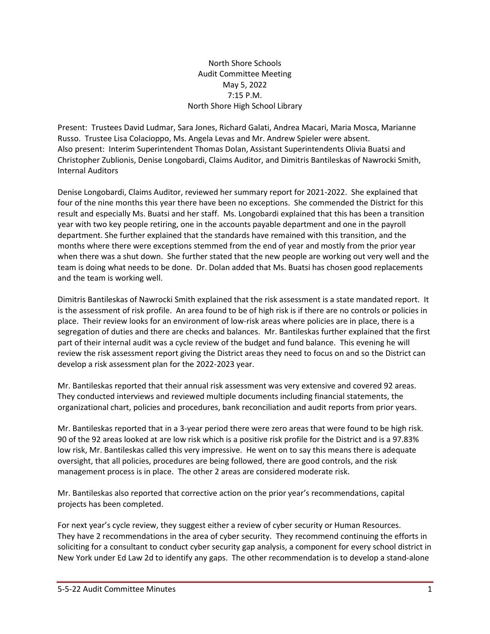## North Shore Schools Audit Committee Meeting May 5, 2022 7:15 P.M. North Shore High School Library

Present: Trustees David Ludmar, Sara Jones, Richard Galati, Andrea Macari, Maria Mosca, Marianne Russo. Trustee Lisa Colacioppo, Ms. Angela Levas and Mr. Andrew Spieler were absent. Also present: Interim Superintendent Thomas Dolan, Assistant Superintendents Olivia Buatsi and Christopher Zublionis, Denise Longobardi, Claims Auditor, and Dimitris Bantileskas of Nawrocki Smith, Internal Auditors

Denise Longobardi, Claims Auditor, reviewed her summary report for 2021-2022. She explained that four of the nine months this year there have been no exceptions. She commended the District for this result and especially Ms. Buatsi and her staff. Ms. Longobardi explained that this has been a transition year with two key people retiring, one in the accounts payable department and one in the payroll department. She further explained that the standards have remained with this transition, and the months where there were exceptions stemmed from the end of year and mostly from the prior year when there was a shut down. She further stated that the new people are working out very well and the team is doing what needs to be done. Dr. Dolan added that Ms. Buatsi has chosen good replacements and the team is working well.

Dimitris Bantileskas of Nawrocki Smith explained that the risk assessment is a state mandated report. It is the assessment of risk profile. An area found to be of high risk is if there are no controls or policies in place. Their review looks for an environment of low-risk areas where policies are in place, there is a segregation of duties and there are checks and balances. Mr. Bantileskas further explained that the first part of their internal audit was a cycle review of the budget and fund balance. This evening he will review the risk assessment report giving the District areas they need to focus on and so the District can develop a risk assessment plan for the 2022-2023 year.

Mr. Bantileskas reported that their annual risk assessment was very extensive and covered 92 areas. They conducted interviews and reviewed multiple documents including financial statements, the organizational chart, policies and procedures, bank reconciliation and audit reports from prior years.

Mr. Bantileskas reported that in a 3-year period there were zero areas that were found to be high risk. 90 of the 92 areas looked at are low risk which is a positive risk profile for the District and is a 97.83% low risk, Mr. Bantileskas called this very impressive. He went on to say this means there is adequate oversight, that all policies, procedures are being followed, there are good controls, and the risk management process is in place. The other 2 areas are considered moderate risk.

Mr. Bantileskas also reported that corrective action on the prior year's recommendations, capital projects has been completed.

For next year's cycle review, they suggest either a review of cyber security or Human Resources. They have 2 recommendations in the area of cyber security. They recommend continuing the efforts in soliciting for a consultant to conduct cyber security gap analysis, a component for every school district in New York under Ed Law 2d to identify any gaps. The other recommendation is to develop a stand-alone